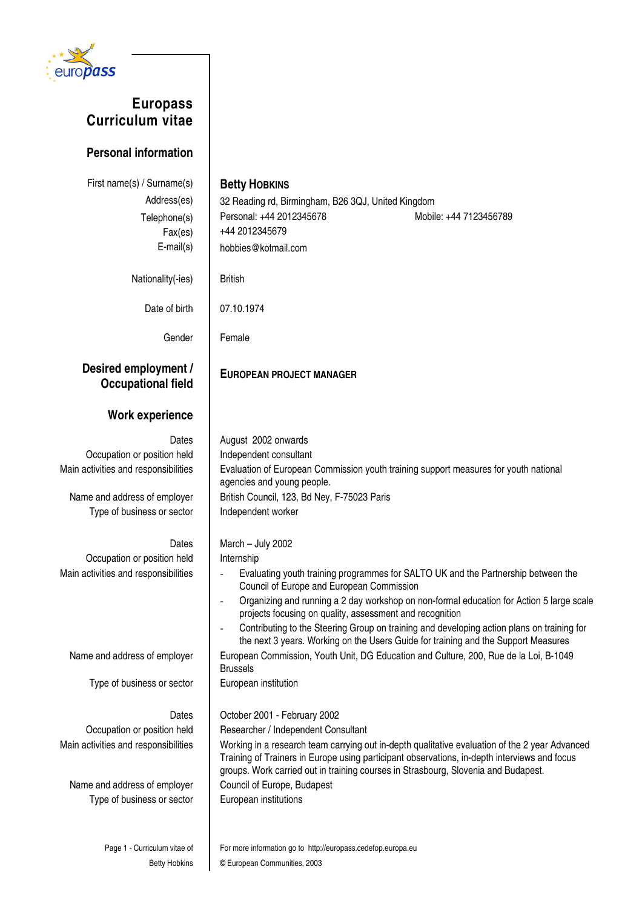

# **Europass Curriculum vitae**

## **Personal information**

| First name(s) / Surname(s)<br>Address(es)<br>Telephone(s)<br>Fax(es)<br>$E$ -mail $(s)$                                                    | <b>Betty HOBKINS</b><br>32 Reading rd, Birmingham, B26 3QJ, United Kingdom<br>Personal: +44 2012345678<br>Mobile: +44 7123456789<br>+44 2012345679<br>hobbies@kotmail.com                                                                                                                                                                                                                                                                                                                                                                 |
|--------------------------------------------------------------------------------------------------------------------------------------------|-------------------------------------------------------------------------------------------------------------------------------------------------------------------------------------------------------------------------------------------------------------------------------------------------------------------------------------------------------------------------------------------------------------------------------------------------------------------------------------------------------------------------------------------|
| Nationality(-ies)                                                                                                                          | <b>British</b>                                                                                                                                                                                                                                                                                                                                                                                                                                                                                                                            |
| Date of birth                                                                                                                              | 07.10.1974                                                                                                                                                                                                                                                                                                                                                                                                                                                                                                                                |
| Gender                                                                                                                                     | Female                                                                                                                                                                                                                                                                                                                                                                                                                                                                                                                                    |
| Desired employment /<br><b>Occupational field</b>                                                                                          | <b>EUROPEAN PROJECT MANAGER</b>                                                                                                                                                                                                                                                                                                                                                                                                                                                                                                           |
| <b>Work experience</b>                                                                                                                     |                                                                                                                                                                                                                                                                                                                                                                                                                                                                                                                                           |
| Dates<br>Occupation or position held<br>Main activities and responsibilities                                                               | August 2002 onwards<br>Independent consultant<br>Evaluation of European Commission youth training support measures for youth national                                                                                                                                                                                                                                                                                                                                                                                                     |
| Name and address of employer<br>Type of business or sector                                                                                 | agencies and young people.<br>British Council, 123, Bd Ney, F-75023 Paris<br>Independent worker                                                                                                                                                                                                                                                                                                                                                                                                                                           |
| Dates<br>Occupation or position held<br>Main activities and responsibilities                                                               | March - July 2002<br>Internship<br>Evaluating youth training programmes for SALTO UK and the Partnership between the<br>Council of Europe and European Commission<br>Organizing and running a 2 day workshop on non-formal education for Action 5 large scale<br>$\overline{\phantom{a}}$<br>projects focusing on quality, assessment and recognition<br>Contributing to the Steering Group on training and developing action plans on training for<br>the next 3 years. Working on the Users Guide for training and the Support Measures |
| Name and address of employer                                                                                                               | European Commission, Youth Unit, DG Education and Culture, 200, Rue de la Loi, B-1049<br><b>Brussels</b>                                                                                                                                                                                                                                                                                                                                                                                                                                  |
| Type of business or sector                                                                                                                 | European institution                                                                                                                                                                                                                                                                                                                                                                                                                                                                                                                      |
| Dates<br>Occupation or position held<br>Main activities and responsibilities<br>Name and address of employer<br>Type of business or sector | October 2001 - February 2002<br>Researcher / Independent Consultant<br>Working in a research team carrying out in-depth qualitative evaluation of the 2 year Advanced<br>Training of Trainers in Europe using participant observations, in-depth interviews and focus<br>groups. Work carried out in training courses in Strasbourg, Slovenia and Budapest.<br>Council of Europe, Budapest<br>European institutions                                                                                                                       |
| Page 1 - Curriculum vitae of                                                                                                               | For more information go to http://europass.cedefop.europa.eu                                                                                                                                                                                                                                                                                                                                                                                                                                                                              |